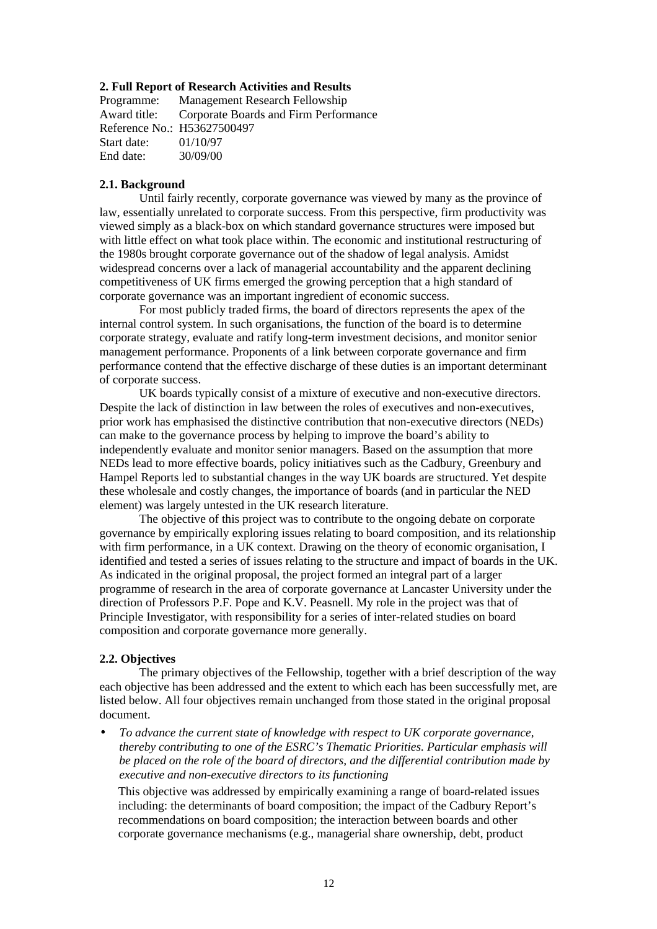### **2. Full Report of Research Activities and Results**

Programme: Management Research Fellowship Award title: Corporate Boards and Firm Performance Reference No.: H53627500497 Start date: 01/10/97 End date: 30/09/00

# **2.1. Background**

Until fairly recently, corporate governance was viewed by many as the province of law, essentially unrelated to corporate success. From this perspective, firm productivity was viewed simply as a black-box on which standard governance structures were imposed but with little effect on what took place within. The economic and institutional restructuring of the 1980s brought corporate governance out of the shadow of legal analysis. Amidst widespread concerns over a lack of managerial accountability and the apparent declining competitiveness of UK firms emerged the growing perception that a high standard of corporate governance was an important ingredient of economic success.

For most publicly traded firms, the board of directors represents the apex of the internal control system. In such organisations, the function of the board is to determine corporate strategy, evaluate and ratify long-term investment decisions, and monitor senior management performance. Proponents of a link between corporate governance and firm performance contend that the effective discharge of these duties is an important determinant of corporate success.

UK boards typically consist of a mixture of executive and non-executive directors. Despite the lack of distinction in law between the roles of executives and non-executives, prior work has emphasised the distinctive contribution that non-executive directors (NEDs) can make to the governance process by helping to improve the board's ability to independently evaluate and monitor senior managers. Based on the assumption that more NEDs lead to more effective boards, policy initiatives such as the Cadbury, Greenbury and Hampel Reports led to substantial changes in the way UK boards are structured. Yet despite these wholesale and costly changes, the importance of boards (and in particular the NED element) was largely untested in the UK research literature.

The objective of this project was to contribute to the ongoing debate on corporate governance by empirically exploring issues relating to board composition, and its relationship with firm performance, in a UK context. Drawing on the theory of economic organisation, I identified and tested a series of issues relating to the structure and impact of boards in the UK. As indicated in the original proposal, the project formed an integral part of a larger programme of research in the area of corporate governance at Lancaster University under the direction of Professors P.F. Pope and K.V. Peasnell. My role in the project was that of Principle Investigator, with responsibility for a series of inter-related studies on board composition and corporate governance more generally.

# **2.2. Objectives**

The primary objectives of the Fellowship, together with a brief description of the way each objective has been addressed and the extent to which each has been successfully met, are listed below. All four objectives remain unchanged from those stated in the original proposal document.

• *To advance the current state of knowledge with respect to UK corporate governance, thereby contributing to one of the ESRC's Thematic Priorities. Particular emphasis will be placed on the role of the board of directors, and the differential contribution made by executive and non-executive directors to its functioning*

This objective was addressed by empirically examining a range of board-related issues including: the determinants of board composition; the impact of the Cadbury Report's recommendations on board composition; the interaction between boards and other corporate governance mechanisms (e.g., managerial share ownership, debt, product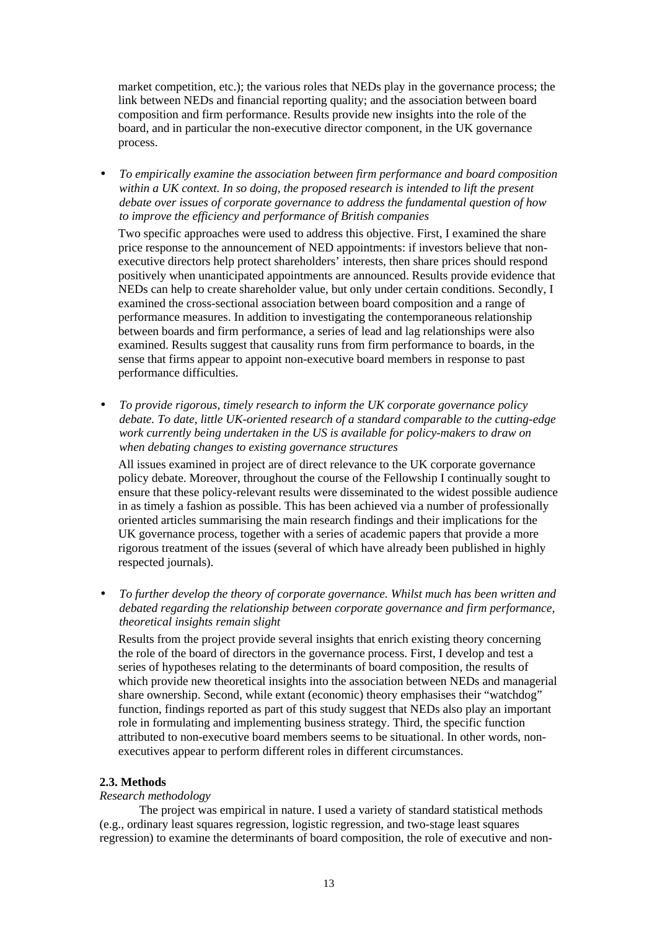market competition, etc.); the various roles that NEDs play in the governance process; the link between NEDs and financial reporting quality; and the association between board composition and firm performance. Results provide new insights into the role of the board, and in particular the non-executive director component, in the UK governance process.

• *To empirically examine the association between firm performance and board composition within a UK context. In so doing, the proposed research is intended to lift the present debate over issues of corporate governance to address the fundamental question of how to improve the efficiency and performance of British companies*

Two specific approaches were used to address this objective. First, I examined the share price response to the announcement of NED appointments: if investors believe that nonexecutive directors help protect shareholders' interests, then share prices should respond positively when unanticipated appointments are announced. Results provide evidence that NEDs can help to create shareholder value, but only under certain conditions. Secondly, I examined the cross-sectional association between board composition and a range of performance measures. In addition to investigating the contemporaneous relationship between boards and firm performance, a series of lead and lag relationships were also examined. Results suggest that causality runs from firm performance to boards, in the sense that firms appear to appoint non-executive board members in response to past performance difficulties.

• *To provide rigorous, timely research to inform the UK corporate governance policy debate. To date, little UK-oriented research of a standard comparable to the cutting-edge work currently being undertaken in the US is available for policy-makers to draw on when debating changes to existing governance structures*

All issues examined in project are of direct relevance to the UK corporate governance policy debate. Moreover, throughout the course of the Fellowship I continually sought to ensure that these policy-relevant results were disseminated to the widest possible audience in as timely a fashion as possible. This has been achieved via a number of professionally oriented articles summarising the main research findings and their implications for the UK governance process, together with a series of academic papers that provide a more rigorous treatment of the issues (several of which have already been published in highly respected journals).

• *To further develop the theory of corporate governance. Whilst much has been written and debated regarding the relationship between corporate governance and firm performance, theoretical insights remain slight*

Results from the project provide several insights that enrich existing theory concerning the role of the board of directors in the governance process. First, I develop and test a series of hypotheses relating to the determinants of board composition, the results of which provide new theoretical insights into the association between NEDs and managerial share ownership. Second, while extant (economic) theory emphasises their "watchdog" function, findings reported as part of this study suggest that NEDs also play an important role in formulating and implementing business strategy. Third, the specific function attributed to non-executive board members seems to be situational. In other words, nonexecutives appear to perform different roles in different circumstances.

# **2.3. Methods**

# *Research methodology*

The project was empirical in nature. I used a variety of standard statistical methods (e.g., ordinary least squares regression, logistic regression, and two-stage least squares regression) to examine the determinants of board composition, the role of executive and non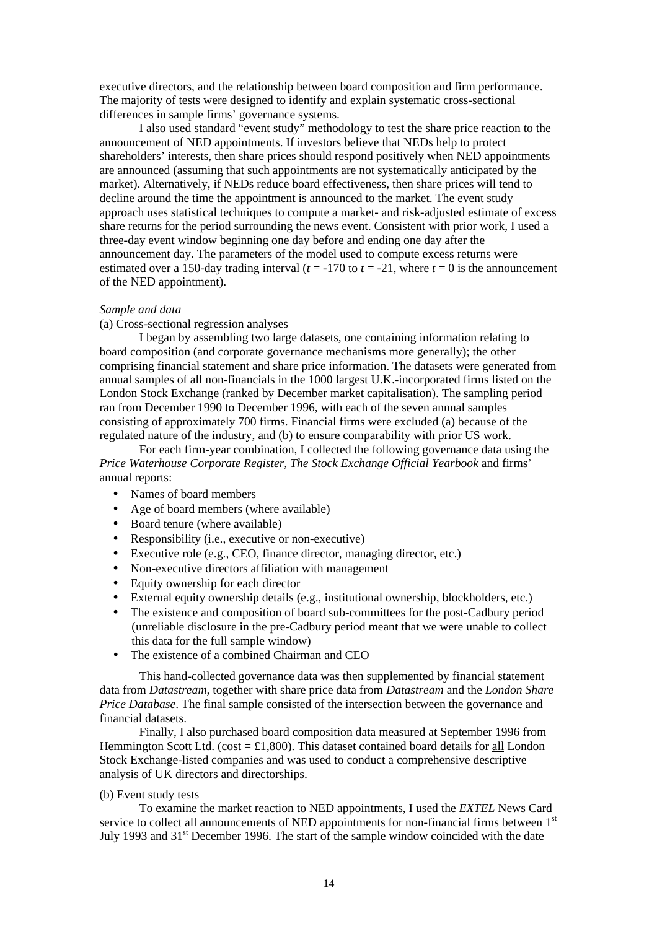executive directors, and the relationship between board composition and firm performance. The majority of tests were designed to identify and explain systematic cross-sectional differences in sample firms' governance systems.

I also used standard "event study" methodology to test the share price reaction to the announcement of NED appointments. If investors believe that NEDs help to protect shareholders' interests, then share prices should respond positively when NED appointments are announced (assuming that such appointments are not systematically anticipated by the market). Alternatively, if NEDs reduce board effectiveness, then share prices will tend to decline around the time the appointment is announced to the market. The event study approach uses statistical techniques to compute a market- and risk-adjusted estimate of excess share returns for the period surrounding the news event. Consistent with prior work, I used a three-day event window beginning one day before and ending one day after the announcement day. The parameters of the model used to compute excess returns were estimated over a 150-day trading interval  $(t = -170$  to  $t = -21$ , where  $t = 0$  is the announcement of the NED appointment).

## *Sample and data*

## (a) Cross-sectional regression analyses

I began by assembling two large datasets, one containing information relating to board composition (and corporate governance mechanisms more generally); the other comprising financial statement and share price information. The datasets were generated from annual samples of all non-financials in the 1000 largest U.K.-incorporated firms listed on the London Stock Exchange (ranked by December market capitalisation). The sampling period ran from December 1990 to December 1996, with each of the seven annual samples consisting of approximately 700 firms. Financial firms were excluded (a) because of the regulated nature of the industry, and (b) to ensure comparability with prior US work.

For each firm-year combination, I collected the following governance data using the *Price Waterhouse Corporate Register, The Stock Exchange Official Yearbook* and firms' annual reports:

- Names of board members
- Age of board members (where available)
- Board tenure (where available)
- Responsibility (*i.e.*, executive or non-executive)
- Executive role (e.g., CEO, finance director, managing director, etc.)
- Non-executive directors affiliation with management
- Equity ownership for each director
- External equity ownership details (e.g., institutional ownership, blockholders, etc.)
- The existence and composition of board sub-committees for the post-Cadbury period (unreliable disclosure in the pre-Cadbury period meant that we were unable to collect this data for the full sample window)
- The existence of a combined Chairman and CEO

This hand-collected governance data was then supplemented by financial statement data from *Datastream,* together with share price data from *Datastream* and the *London Share Price Database*. The final sample consisted of the intersection between the governance and financial datasets.

Finally, I also purchased board composition data measured at September 1996 from Hemmington Scott Ltd. (cost  $=$  £1,800). This dataset contained board details for all London Stock Exchange-listed companies and was used to conduct a comprehensive descriptive analysis of UK directors and directorships.

#### (b) Event study tests

To examine the market reaction to NED appointments, I used the *EXTEL* News Card service to collect all announcements of NED appointments for non-financial firms between 1<sup>st</sup> July 1993 and 31<sup>st</sup> December 1996. The start of the sample window coincided with the date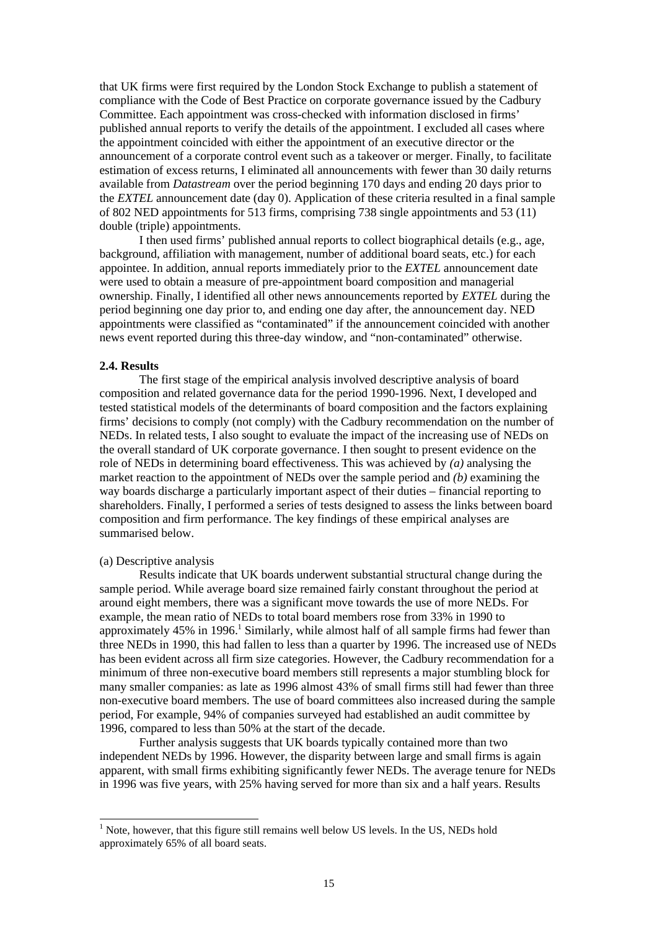that UK firms were first required by the London Stock Exchange to publish a statement of compliance with the Code of Best Practice on corporate governance issued by the Cadbury Committee. Each appointment was cross-checked with information disclosed in firms' published annual reports to verify the details of the appointment. I excluded all cases where the appointment coincided with either the appointment of an executive director or the announcement of a corporate control event such as a takeover or merger. Finally, to facilitate estimation of excess returns, I eliminated all announcements with fewer than 30 daily returns available from *Datastream* over the period beginning 170 days and ending 20 days prior to the *EXTEL* announcement date (day 0). Application of these criteria resulted in a final sample of 802 NED appointments for 513 firms, comprising 738 single appointments and 53 (11) double (triple) appointments.

I then used firms' published annual reports to collect biographical details (e.g., age, background, affiliation with management, number of additional board seats, etc.) for each appointee. In addition, annual reports immediately prior to the *EXTEL* announcement date were used to obtain a measure of pre-appointment board composition and managerial ownership. Finally, I identified all other news announcements reported by *EXTEL* during the period beginning one day prior to, and ending one day after, the announcement day. NED appointments were classified as "contaminated" if the announcement coincided with another news event reported during this three-day window, and "non-contaminated" otherwise.

#### **2.4. Results**

The first stage of the empirical analysis involved descriptive analysis of board composition and related governance data for the period 1990-1996. Next, I developed and tested statistical models of the determinants of board composition and the factors explaining firms' decisions to comply (not comply) with the Cadbury recommendation on the number of NEDs. In related tests, I also sought to evaluate the impact of the increasing use of NEDs on the overall standard of UK corporate governance. I then sought to present evidence on the role of NEDs in determining board effectiveness. This was achieved by *(a)* analysing the market reaction to the appointment of NEDs over the sample period and *(b)* examining the way boards discharge a particularly important aspect of their duties – financial reporting to shareholders. Finally, I performed a series of tests designed to assess the links between board composition and firm performance. The key findings of these empirical analyses are summarised below.

#### (a) Descriptive analysis

l

Results indicate that UK boards underwent substantial structural change during the sample period. While average board size remained fairly constant throughout the period at around eight members, there was a significant move towards the use of more NEDs. For example, the mean ratio of NEDs to total board members rose from 33% in 1990 to approximately 45% in 1996.<sup>1</sup> Similarly, while almost half of all sample firms had fewer than three NEDs in 1990, this had fallen to less than a quarter by 1996. The increased use of NEDs has been evident across all firm size categories. However, the Cadbury recommendation for a minimum of three non-executive board members still represents a major stumbling block for many smaller companies: as late as 1996 almost 43% of small firms still had fewer than three non-executive board members. The use of board committees also increased during the sample period, For example, 94% of companies surveyed had established an audit committee by 1996, compared to less than 50% at the start of the decade.

Further analysis suggests that UK boards typically contained more than two independent NEDs by 1996. However, the disparity between large and small firms is again apparent, with small firms exhibiting significantly fewer NEDs. The average tenure for NEDs in 1996 was five years, with 25% having served for more than six and a half years. Results

<sup>&</sup>lt;sup>1</sup> Note, however, that this figure still remains well below US levels. In the US, NEDs hold approximately 65% of all board seats.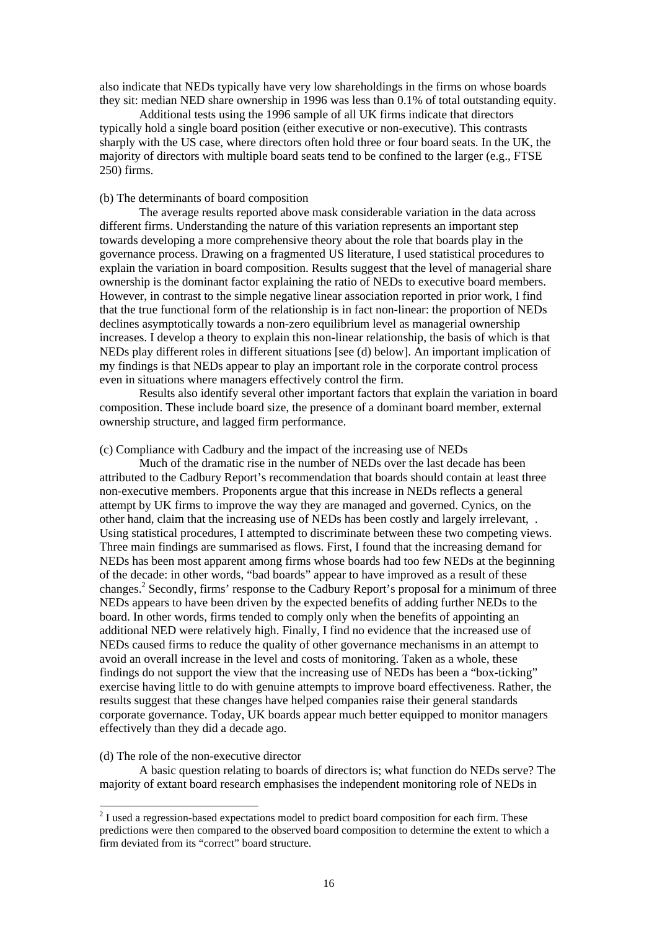also indicate that NEDs typically have very low shareholdings in the firms on whose boards they sit: median NED share ownership in 1996 was less than 0.1% of total outstanding equity.

Additional tests using the 1996 sample of all UK firms indicate that directors typically hold a single board position (either executive or non-executive). This contrasts sharply with the US case, where directors often hold three or four board seats. In the UK, the majority of directors with multiple board seats tend to be confined to the larger (e.g., FTSE 250) firms.

### (b) The determinants of board composition

The average results reported above mask considerable variation in the data across different firms. Understanding the nature of this variation represents an important step towards developing a more comprehensive theory about the role that boards play in the governance process. Drawing on a fragmented US literature, I used statistical procedures to explain the variation in board composition. Results suggest that the level of managerial share ownership is the dominant factor explaining the ratio of NEDs to executive board members. However, in contrast to the simple negative linear association reported in prior work, I find that the true functional form of the relationship is in fact non-linear: the proportion of NEDs declines asymptotically towards a non-zero equilibrium level as managerial ownership increases. I develop a theory to explain this non-linear relationship, the basis of which is that NEDs play different roles in different situations [see (d) below]. An important implication of my findings is that NEDs appear to play an important role in the corporate control process even in situations where managers effectively control the firm.

Results also identify several other important factors that explain the variation in board composition. These include board size, the presence of a dominant board member, external ownership structure, and lagged firm performance.

### (c) Compliance with Cadbury and the impact of the increasing use of NEDs

Much of the dramatic rise in the number of NEDs over the last decade has been attributed to the Cadbury Report's recommendation that boards should contain at least three non-executive members. Proponents argue that this increase in NEDs reflects a general attempt by UK firms to improve the way they are managed and governed. Cynics, on the other hand, claim that the increasing use of NEDs has been costly and largely irrelevant, . Using statistical procedures, I attempted to discriminate between these two competing views. Three main findings are summarised as flows. First, I found that the increasing demand for NEDs has been most apparent among firms whose boards had too few NEDs at the beginning of the decade: in other words, "bad boards" appear to have improved as a result of these changes.<sup>2</sup> Secondly, firms' response to the Cadbury Report's proposal for a minimum of three NEDs appears to have been driven by the expected benefits of adding further NEDs to the board. In other words, firms tended to comply only when the benefits of appointing an additional NED were relatively high. Finally, I find no evidence that the increased use of NEDs caused firms to reduce the quality of other governance mechanisms in an attempt to avoid an overall increase in the level and costs of monitoring. Taken as a whole, these findings do not support the view that the increasing use of NEDs has been a "box-ticking" exercise having little to do with genuine attempts to improve board effectiveness. Rather, the results suggest that these changes have helped companies raise their general standards corporate governance. Today, UK boards appear much better equipped to monitor managers effectively than they did a decade ago.

## (d) The role of the non-executive director

l

A basic question relating to boards of directors is; what function do NEDs serve? The majority of extant board research emphasises the independent monitoring role of NEDs in

 $2^{2}$  I used a regression-based expectations model to predict board composition for each firm. These predictions were then compared to the observed board composition to determine the extent to which a firm deviated from its "correct" board structure.